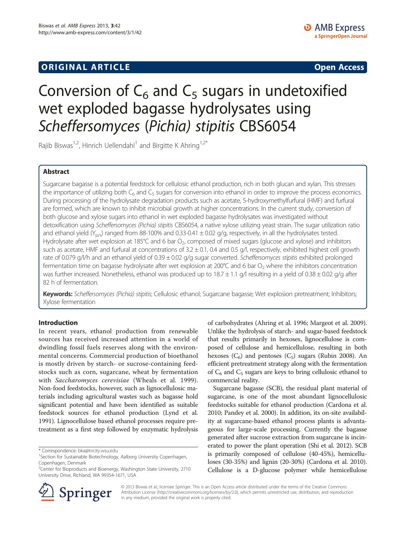## **ORIGINAL ARTICLE CONSUMING A LIGACION CONSUMING A LIGACION CONSUMING A LIGACION**

# Conversion of  $C_6$  and  $C_5$  sugars in undetoxified wet exploded bagasse hydrolysates using Scheffersomyces (Pichia) stipitis CBS6054

Rajib Biswas<sup>1,2</sup>, Hinrich Uellendahl<sup>1</sup> and Birgitte K Ahring<sup>1,2\*</sup>

## Abstract

Sugarcane bagasse is a potential feedstock for cellulosic ethanol production, rich in both glucan and xylan. This stresses the importance of utilizing both  $C_6$  and  $C_5$  sugars for conversion into ethanol in order to improve the process economics. During processing of the hydrolysate degradation products such as acetate, 5-hydroxymethylfurfural (HMF) and furfural are formed, which are known to inhibit microbial growth at higher concentrations. In the current study, conversion of both glucose and xylose sugars into ethanol in wet exploded bagasse hydrolysates was investigated without detoxification using Scheffersomyces (Pichia) stipitis CBS6054, a native xylose utilizing yeast strain. The sugar utilization ratio and ethanol yield (Y<sub>p/s</sub>) ranged from 88-100% and 0.33-0.41  $\pm$  0.02 g/g, respectively, in all the hydrolysates tested. Hydrolysate after wet explosion at 185°C and 6 bar O<sub>2</sub>, composed of mixed sugars (glucose and xylose) and inhibitors such as acetate, HMF and furfural at concentrations of 3.2 ± 0.1, 0.4 and 0.5 g/l, respectively, exhibited highest cell growth rate of 0.079 g/l/h and an ethanol yield of 0.39 ± 0.02 g/g sugar converted. Scheffersomyces stipitis exhibited prolonged fermentation time on bagasse hydrolysate after wet explosion at 200°C and 6 bar  $O_2$  where the inhibitors concentration was further increased. Nonetheless, ethanol was produced up to  $18.7 \pm 1.1$  g/l resulting in a yield of  $0.38 \pm 0.02$  g/g after 82 h of fermentation.

Keywords: Scheffersomyces (Pichia) stipitis; Cellulosic ethanol; Sugarcane bagasse; Wet explosion pretreatment; Inhibitors; Xylose fermentation

### Introduction

In recent years, ethanol production from renewable sources has received increased attention in a world of dwindling fossil fuels reserves along with the environmental concerns. Commercial production of bioethanol is mostly driven by starch- or sucrose-containing feedstocks such as corn, sugarcane, wheat by fermentation with Saccharomyces cerevisiae (Wheals et al. [1999](#page-6-0)). Non-food feedstocks, however, such as lignocellulosic materials including agricultural wastes such as bagasse hold significant potential and have been identified as suitable feedstock sources for ethanol production (Lynd et al. [1991\)](#page-6-0). Lignocellulose based ethanol processes require pretreatment as a first step followed by enzymatic hydrolysis



Sugarcane bagasse (SCB), the residual plant material of sugarcane, is one of the most abundant lignocellulosic feedstocks suitable for ethanol production (Cardona et al. [2010](#page-5-0); Pandey et al. [2000](#page-6-0)). In addition, its on-site availability at sugarcane-based ethanol process plants is advantageous for large-scale processing. Currently the bagasse generated after sucrose extraction from sugarcane is incinerated to power the plant operation (Shi et al. [2012\)](#page-6-0). SCB is primarily composed of cellulose (40-45%), hemicelluloses (30-35%) and lignin (20-30%) (Cardona et al. [2010](#page-5-0)). Cellulose is a D-glucose polymer while hemicellulose



© 2013 Biswas et al.; licensee Springer. This is an Open Access article distributed under the terms of the Creative Commons Attribution License [\(http://creativecommons.org/licenses/by/2.0\)](http://creativecommons.org/licenses/by/2.0), which permits unrestricted use, distribution, and reproduction in any medium, provided the original work is properly cited.

<sup>\*</sup> Correspondence: [bka@tricity.wsu.edu](mailto:bka@tricity.wsu.edu) <sup>1</sup>

<sup>&</sup>lt;sup>1</sup>Section for Sustainable Biotechnology, Aalborg University Copenhagen, Copenhagen, Denmark

<sup>&</sup>lt;sup>2</sup> Center for Bioproducts and Bioenergy, Washington State University, 2710 University Drive, Richland, WA 99354-1671, USA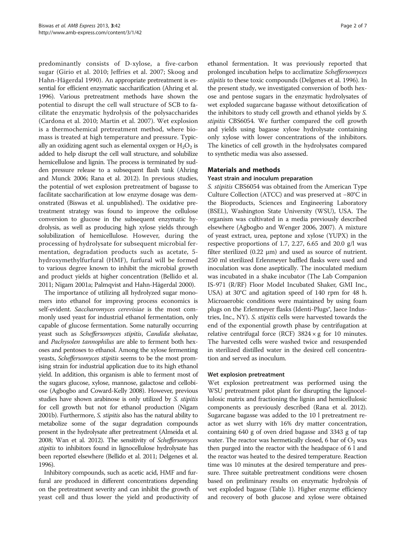predominantly consists of D-xylose, a five-carbon sugar (Girio et al. [2010;](#page-5-0) Jeffries et al. [2007](#page-6-0); Skoog and Hahn-Hägerdal [1990\)](#page-6-0). An appropriate pretreatment is essential for efficient enzymatic saccharification (Ahring et al. [1996\)](#page-5-0). Various pretreatment methods have shown the potential to disrupt the cell wall structure of SCB to facilitate the enzymatic hydrolysis of the polysaccharides (Cardona et al. [2010;](#page-5-0) Martin et al. [2007\)](#page-6-0). Wet explosion is a thermochemical pretreatment method, where biomass is treated at high temperature and pressure. Typically an oxidizing agent such as elemental oxygen or  $H_2O_2$  is added to help disrupt the cell wall structure, and solubilize hemicellulose and lignin. The process is terminated by sudden pressure release to a subsequent flash tank (Ahring and Munck [2006;](#page-5-0) Rana et al. [2012](#page-6-0)). In previous studies, the potential of wet explosion pretreatment of bagasse to facilitate saccharification at low enzyme dosage was demonstrated (Biswas et al. unpublished). The oxidative pretreatment strategy was found to improve the cellulose conversion to glucose in the subsequent enzymatic hydrolysis, as well as producing high xylose yields through solubilization of hemicellulose. However, during the processing of hydrolysate for subsequent microbial fermentation, degradation products such as acetate, 5 hydroxymethylfurfural (HMF), furfural will be formed to various degree known to inhibit the microbial growth and product yields at higher concentration (Bellido et al. [2011;](#page-5-0) Nigam [2001a;](#page-6-0) Palmqvist and Hahn-Hägerdal [2000\)](#page-6-0).

The importance of utilizing all hydrolyzed sugar monomers into ethanol for improving process economics is self-evident. Saccharomyces cerevisiae is the most commonly used yeast for industrial ethanol fermentation, only capable of glucose fermentation. Some naturally occurring yeast such as Scheffersomyces stipitis, Candida shehatae, and Pachysolen tannophilus are able to ferment both hexoses and pentoses to ethanol. Among the xylose fermenting yeasts, Scheffersomyces stipitis seems to be the most promising strain for industrial application due to its high ethanol yield. In addition, this organism is able to ferment most of the sugars glucose, xylose, mannose, galactose and cellobiose (Agbogbo and Coward-Kelly [2008\)](#page-5-0). However, previous studies have shown arabinose is only utilized by S. stipitis for cell growth but not for ethanol production (Nigam [2001b\)](#page-6-0). Furthermore, S. stipitis also has the natural ability to metabolize some of the sugar degradation compounds present in the hydrolysate after pretreatment (Almeida et al. [2008](#page-5-0); Wan et al. [2012\)](#page-6-0). The sensitivity of Scheffersomyces stipitis to inhibitors found in lignocellulose hydrolysate has been reported elsewhere (Bellido et al. [2011](#page-5-0); Delgenes et al. [1996](#page-5-0)).

Inhibitory compounds, such as acetic acid, HMF and furfural are produced in different concentrations depending on the pretreatment severity and can inhibit the growth of yeast cell and thus lower the yield and productivity of

ethanol fermentation. It was previously reported that prolonged incubation helps to acclimatize Scheffersomyces stipitis to these toxic compounds (Delgenes et al. [1996](#page-5-0)). In the present study, we investigated conversion of both hexose and pentose sugars in the enzymatic hydrolysates of wet exploded sugarcane bagasse without detoxification of the inhibitors to study cell growth and ethanol yields by S. stipitis CBS6054. We further compared the cell growth and yields using bagasse xylose hydrolysate containing only xylose with lower concentrations of the inhibitors. The kinetics of cell growth in the hydrolysates compared to synthetic media was also assessed.

## Materials and methods

### Yeast strain and inoculum preparation

S. stipitis CBS6054 was obtained from the American Type Culture Collection (ATCC) and was preserved at −80°C in the Bioproducts, Sciences and Engineering Laboratory (BSEL), Washington State University (WSU), USA. The organism was cultivated in a media previously described elsewhere (Agbogbo and Wenger [2006](#page-5-0), [2007\)](#page-5-0). A mixture of yeast extract, urea, peptone and xylose (YUPX) in the respective proportions of 1.7, 2.27, 6.65 and 20.0 g/l was filter sterilized (0.22 μm) and used as source of nutrient. 250 ml sterilized Erlenmeyer baffled flasks were used and inoculation was done aseptically. The inoculated medium was incubated in a shake incubator (The Lab Companion IS-971 (R/RF) Floor Model Incubated Shaker, GMI Inc., USA) at 30°C and agitation speed of 140 rpm for 48 h. Microaerobic conditions were maintained by using foam plugs on the Erlenmeyer flasks (Identi-Plugs<sup>®</sup>, Jaece Industries, Inc., NY). S. stipitis cells were harvested towards the end of the exponential growth phase by centrifugation at relative centrifugal force (RCF)  $3824 \times g$  for 10 minutes. The harvested cells were washed twice and resuspended in sterilized distilled water in the desired cell concentration and served as inoculum.

#### Wet explosion pretreatment

Wet explosion pretreatment was performed using the WSU pretreatment pilot plant for disrupting the lignocellulosic matrix and fractioning the lignin and hemicellulosic components as previously described (Rana et al. [2012](#page-6-0)). Sugarcane bagasse was added to the 10 l pretreatment reactor as wet slurry with 16% dry matter concentration, containing 640 g of oven dried bagasse and 3343 g of tap water. The reactor was hermetically closed, 6 bar of  $O_2$  was then purged into the reactor with the headspace of 6 l and the reactor was heated to the desired temperature. Reaction time was 10 minutes at the desired temperature and pressure. Three suitable pretreatment conditions were chosen based on preliminary results on enzymatic hydrolysis of wet exploded bagasse (Table [1](#page-2-0)). Higher enzyme efficiency and recovery of both glucose and xylose were obtained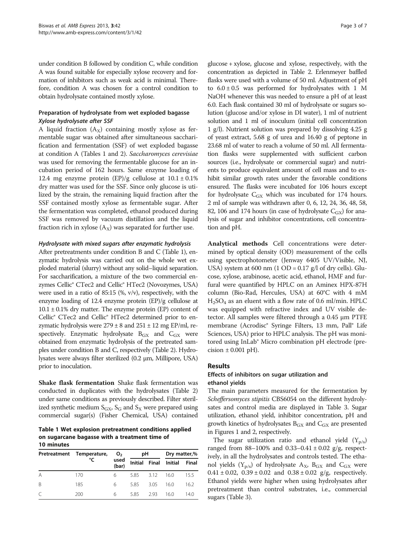<span id="page-2-0"></span>under condition B followed by condition C, while condition A was found suitable for especially xylose recovery and formation of inhibitors such as weak acid is minimal. Therefore, condition A was chosen for a control condition to obtain hydrolysate contained mostly xylose.

## Preparation of hydrolysate from wet exploded bagasse Xylose hydrolysate after SSF

A liquid fraction  $(A_x)$  containing mostly xylose as fermentable sugar was obtained after simultaneous saccharification and fermentation (SSF) of wet exploded bagasse at condition A (Tables 1 and [2](#page-3-0)). Saccharomyces cerevisiae was used for removing the fermentable glucose for an incubation period of 162 hours. Same enzyme loading of 12.4 mg enzyme protein  $(EP)/g$  cellulose at  $10.1 \pm 0.1\%$ dry matter was used for the SSF. Since only glucose is utilized by the strain, the remaining liquid fraction after the SSF contained mostly xylose as fermentable sugar. After the fermentation was completed, ethanol produced during SSF was removed by vacuum distillation and the liquid fraction rich in xylose  $(A_x)$  was separated for further use.

#### Hydrolysate with mixed sugars after enzymatic hydrolysis

After pretreatments under condition B and C (Table 1), enzymatic hydrolysis was carried out on the whole wet exploded material (slurry) without any solid–liquid separation. For saccharification, a mixture of the two commercial enzymes Cellic® CTec2 and Cellic® HTec2 (Novozymes, USA) were used in a ratio of 85:15 (%, v/v), respectively, with the enzyme loading of 12.4 enzyme protein (EP)/g cellulose at  $10.1 \pm 0.1\%$  dry matter. The enzyme protein (EP) content of Cellic® CTec2 and Cellic® HTec2 determined prior to enzymatic hydrolysis were  $279 \pm 8$  and  $251 \pm 12$  mg EP/ml, respectively. Enzymatic hydrolysate  $B_{GX}$  and  $C_{GX}$  were obtained from enzymatic hydrolysis of the pretreated samples under condition B and C, respectively (Table [2\)](#page-3-0). Hydrolysates were always filter sterilized (0.2 μm, Millipore, USA) prior to inoculation.

Shake flask fermentation Shake flask fermentation was conducted in duplicates with the hydrolysates (Table [2](#page-3-0)) under same conditions as previously described. Filter sterilized synthetic medium  $S_{GX}$ ,  $S_G$  and  $S_X$  were prepared using commercial sugar(s) (Fisher Chemical, USA) contained

Table 1 Wet explosion pretreatment conditions applied on sugarcane bagasse with a treatment time of 10 minutes

|              | Pretreatment Temperature,<br>°C | O <sub>2</sub><br>used<br>(bar) | рH        |      | Dry matter,%          |       |
|--------------|---------------------------------|---------------------------------|-----------|------|-----------------------|-------|
|              |                                 |                                 |           |      | Initial Final Initial | Final |
| A            | 170                             | 6                               | 5.85 3.12 |      | 16.0                  | 155   |
| <sup>B</sup> | 185                             | 6                               | 585       | 3.05 | 160                   | 16.2  |
|              | 200                             | 6                               | 585       | 293  | 16.0                  | 14.0  |

glucose + xylose, glucose and xylose, respectively, with the concentration as depicted in Table [2](#page-3-0). Erlenmeyer baffled flasks were used with a volume of 50 ml. Adjustment of pH to  $6.0 \pm 0.5$  was performed for hydrolysates with 1 M NaOH whenever this was needed to ensure a pH of at least 6.0. Each flask contained 30 ml of hydrolysate or sugars solution (glucose and/or xylose in DI water), 1 ml of nutrient solution and 1 ml of inoculum (initial cell concentration 1 g/l). Nutrient solution was prepared by dissolving 4.25 g of yeast extract, 5.68 g of urea and 16.40 g of peptone in 23.68 ml of water to reach a volume of 50 ml. All fermentation flasks were supplemented with sufficient carbon sources (i.e., hydrolysate or commercial sugar) and nutrients to produce equivalent amount of cell mass and to exhibit similar growth rates under the favorable conditions ensured. The flasks were incubated for 106 hours except for hydrolysate  $C_{\text{GX}}$  which was incubated for 174 hours. 2 ml of sample was withdrawn after 0, 6, 12, 24, 36, 48, 58, 82, 106 and 174 hours (in case of hydrolysate  $C_{\text{GX}}$ ) for analysis of sugar and inhibitor concentrations, cell concentration and pH.

Analytical methods Cell concentrations were determined by optical density (OD) measurement of the cells using spectrophotometer (Jenway 6405 UV/Visible, NJ, USA) system at 600 nm  $(1 OD = 0.17 g/l$  of dry cells). Glucose, xylose, arabinose, acetic acid, ethanol, HMF and furfural were quantified by HPLC on an Aminex HPX-87H column (Bio-Rad, Hercules, USA) at 60°C with 4 mM  $H<sub>2</sub>SO<sub>4</sub>$  as an eluent with a flow rate of 0.6 ml/min. HPLC was equipped with refractive index and UV visible detector. All samples were filtered through a 0.45 μm PTFE membrane (Acrodisc® Syringe Filters, 13 mm, Pall® Life Sciences, USA) prior to HPLC analysis. The pH was monitored using InLab® Micro combination pH electrode (precision  $\pm$  0.001 pH).

### Results

### Effects of inhibitors on sugar utilization and ethanol yields

The main parameters measured for the fermentation by Scheffersomyces stipitis CBS6054 on the different hydrolysates and control media are displayed in Table [3.](#page-3-0) Sugar utilization, ethanol yield, inhibitor concentration, pH and growth kinetics of hydrolysates  $B_{GX}$  and  $C_{GX}$  are presented in Figures [1](#page-4-0) and [2](#page-4-0), respectively.

The sugar utilization ratio and ethanol yield  $(Y_{p/s})$ ranged from  $88-100\%$  and  $0.33-0.41 \pm 0.02$  g/g, respectively, in all the hydrolysates and controls tested. The ethanol yields  $(Y_{p/s})$  of hydrolysate  $A_X$ ,  $B_{GX}$  and  $C_{GX}$  were  $0.41 \pm 0.02$ ,  $0.39 \pm 0.02$  and  $0.38 \pm 0.02$  g/g, respectively. Ethanol yields were higher when using hydrolysates after pretreatment than control substrates, i.e., commercial sugars (Table [3\)](#page-3-0).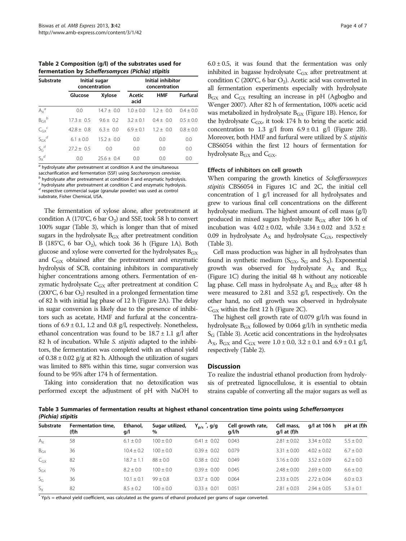<span id="page-3-0"></span>Table 2 Composition (g/l) of the substrates used for fermentation by Scheffersomyces (Pichia) stipitis

| <b>Substrate</b>      |              | Initial sugar<br>concentration | Initial inhibitor<br>concentration |             |               |  |
|-----------------------|--------------|--------------------------------|------------------------------------|-------------|---------------|--|
|                       | Glucose      | Xylose                         | Acetic<br>acid                     | <b>HMF</b>  | Furfural      |  |
| $A_X^a$               | 0.0          | $14.7 \pm 0.0$                 | $1.0 + 0.0$                        | $1.2 + 0.0$ | $0.4 \pm 0.0$ |  |
| $B_{\text{GX}}^b$     | $17.3 + 0.5$ | $9.6 + 0.2$                    | $3.2 + 0.1$                        | $0.4 + 0.0$ | $0.5 + 0.0$   |  |
| ${C_{GX}}^c$          | $42.8 + 0.8$ | $6.3 + 0.0$                    | $6.9 + 0.1$                        | $1.2 + 0.0$ | $0.8 \pm 0.0$ |  |
| $S_{\text{GX}}^{\ d}$ | $6.1 + 0.0$  | $15.2 + 0.0$                   | 0.0                                | 0.0         | 0.0           |  |
| $S_G^d$               | $27.2 + 0.5$ | 0.0                            | 0.0                                | 0.0         | 0.0           |  |
| $S_X^{\ d}$           | 0.0          | $25.6 + 0.4$                   | 0.0                                | 0.0         | 0.0           |  |

 $a$  hydrolysate after pretreatment at condition A and the simultaneous saccharification and fermentation (SSF) using Saccharomyces cerevisiae.  $<sup>b</sup>$  hydrolysate after pretreatment at condition B and enzymatic hydrolysis.</sup>  $c$  hydrolysate after pretreatment at condition C and enzymatic hydrolysis. <sup>d</sup> respective commercial sugar (granular powder) was used as control substrate, Fisher Chemical, USA.

The fermentation of xylose alone, after pretreatment at condition A (170°C, 6 bar  $O_2$ ) and SSF, took 58 h to convert 100% sugar (Table 3), which is longer than that of mixed sugars in the hydrolysate  $B_{GX}$  after pretreatment condition B (185°C, 6 bar  $O_2$ ), which took 36 h (Figure [1A](#page-4-0)). Both glucose and xylose were converted for the hydrolysates  $B_{GX}$ and CGX obtained after the pretreatment and enzymatic hydrolysis of SCB, containing inhibitors in comparatively higher concentrations among others. Fermentation of enzymatic hydrolysate  $C_{GX}$  after pretreatment at condition  $C$ (200°C, 6 bar  $O_2$ ) resulted in a prolonged fermentation time of 82 h with initial lag phase of 12 h (Figure [2](#page-4-0)A). The delay in sugar conversion is likely due to the presence of inhibitors such as acetate, HMF and furfural at the concentrations of  $6.9 \pm 0.1$ , 1.2 and 0.8 g/l, respectively. Nonetheless, ethanol concentration was found to be  $18.7 \pm 1.1$  g/l after 82 h of incubation. While S. *stipitis* adapted to the inhibitors, the fermentation was completed with an ethanol yield of  $0.38 \pm 0.02$  g/g at 82 h. Although the utilization of sugars was limited to 88% within this time, sugar conversion was found to be 95% after 174 h of fermentation.

Taking into consideration that no detoxification was performed except the adjustment of pH with NaOH to  $6.0 \pm 0.5$ , it was found that the fermentation was only inhibited in bagasse hydrolysate C<sub>GX</sub> after pretreatment at condition C (200°C, 6 bar  $O_2$ ). Acetic acid was converted in all fermentation experiments especially with hydrolysate  $B_{\text{GX}}$  and  $C_{\text{GX}}$  resulting an increase in pH (Agbogbo and Wenger [2007\)](#page-5-0). After 82 h of fermentation, 100% acetic acid was metabolized in hydrolysate  $B_{GX}$  (Figure [1B](#page-4-0)). Hence, for the hydrolysate  $C_{\text{GX}}$ , it took 174 h to bring the acetic acid concentration to 1.3 g/l from  $6.9 \pm 0.1$  g/l (Figure [2B](#page-4-0)). Moreover, both HMF and furfural were utilized by S. stipitis CBS6054 within the first 12 hours of fermentation for hydrolysate  $B_{\text{GX}}$  and  $C_{\text{GX}}$ .

#### Effects of inhibitors on cell growth

When comparing the growth kinetics of Scheffersomyces stipitis CBS6054 in Figures [1C](#page-4-0) and [2C](#page-4-0), the initial cell concentration of 1 g/l increased for all hydrolysates and grew to various final cell concentrations on the different hydrolysate medium. The highest amount of cell mass (g/l) produced in mixed sugars hydrolysate  $B_{GX}$  after 106 h of incubation was  $4.02 \pm 0.02$ , while  $3.34 \pm 0.02$  and  $3.52 \pm$ 0.09 in hydrolysate  $A_X$  and hydrolysate  $C_{GX}$ , respectively (Table 3).

Cell mass production was higher in all hydrolysates than found in synthetic medium ( $S_{GX}$ ,  $S_G$  and  $S_X$ ). Exponential growth was observed for hydrolysate  $A_X$  and  $B_{GX}$ (Figure [1C](#page-4-0)) during the initial 48 h without any noticeable lag phase. Cell mass in hydrolysate  $A_X$  and  $B_{GX}$  after 48 h were measured to 2.81 and 3.52 g/l, respectively. On the other hand, no cell growth was observed in hydrolysate  $C_{\text{GX}}$  within the first 12 h (Figure [2C](#page-4-0)).

The highest cell growth rate of 0.079 g/l/h was found in hydrolysate  $B_{GX}$  followed by 0.064 g/l/h in synthetic media  $S_G$  (Table 3). Acetic acid concentrations in the hydrolysates  $A_X$ ,  $B_{GX}$  and  $C_{GX}$  were 1.0 ± 0.0, 3.2 ± 0.1 and 6.9 ± 0.1 g/l, respectively (Table 2).

### **Discussion**

To realize the industrial ethanol production from hydrolysis of pretreated lignocellulose, it is essential to obtain strains capable of converting all the major sugars as well as

Table 3 Summaries of fermentation results at highest ethanol concentration time points using Scheffersomyces (Pichia) stipitis

| Substrate       | Fermentation time.<br>(f)h | Ethanol,<br>g/l | Sugar utilized,<br>$\%$ | $Y_{p/s}$ , g/g | Cell growth rate,<br>q/1/h | Cell mass,<br>$q/l$ at $(f)h$ | g/l at 106 h  | pH at (f)h    |
|-----------------|----------------------------|-----------------|-------------------------|-----------------|----------------------------|-------------------------------|---------------|---------------|
| $A_X$           | 58                         | $6.1 \pm 0.0$   | $100 + 0.0$             | $0.41 + 0.02$   | 0.043                      | $2.81 + 0.02$                 | $3.34 + 0.02$ | $5.5 \pm 0.0$ |
| $B_{\text{GX}}$ | 36                         | $10.4 \pm 0.2$  | $100 + 0.0$             | $0.39 + 0.02$   | 0.079                      | $3.31 \pm 0.00$               | $4.02 + 0.02$ | $6.7 \pm 0.0$ |
| $C_{GX}$        | 82                         | $18.7 + 1.1$    | $88 + 0.0$              | $0.38 + 0.02$   | 0.049                      | $3.16 + 0.00$                 | $3.52 + 0.09$ | $6.2 \pm 0.0$ |
| $S_{GX}$        | 76                         | $8.2 + 0.0$     | $100 + 0.0$             | $0.39 + 0.00$   | 0.045                      | $7.48 + 0.00$                 | $2.69 + 0.00$ | $6.6 \pm 0.0$ |
| $S_G$           | 36                         | $10.1 + 0.1$    | $99 + 0.8$              | $0.37 + 0.00$   | 0.064                      | $2.33 + 0.05$                 | $2.72 + 0.04$ | $6.0 \pm 0.3$ |
| $S_{\rm X}$     | 82                         | $8.5 \pm 0.2$   | $100 + 0.0$             | $0.33 + 0.01$   | 0.051                      | $2.81 \pm 0.03$               | $2.94 + 0.05$ | $5.3 \pm 0.1$ |

 $*$  Yp/s = ethanol yield coefficient, was calculated as the grams of ethanol produced per grams of sugar converted.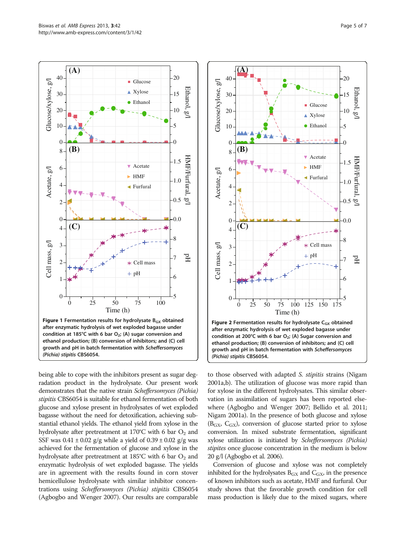<span id="page-4-0"></span>

being able to cope with the inhibitors present as sugar degradation product in the hydrolysate. Our present work demonstrates that the native strain Scheffersomyces (Pichia) stipitis CBS6054 is suitable for ethanol fermentation of both glucose and xylose present in hydrolysates of wet exploded bagasse without the need for detoxification, achieving substantial ethanol yields. The ethanol yield from xylose in the hydrolysate after pretreatment at 170°C with 6 bar  $O_2$  and SSF was  $0.41 \pm 0.02$  g/g while a yield of  $0.39 \pm 0.02$  g/g was achieved for the fermentation of glucose and xylose in the hydrolysate after pretreatment at 185°C with 6 bar  $O_2$  and enzymatic hydrolysis of wet exploded bagasse. The yields are in agreement with the results found in corn stover hemicellulose hydrolysate with similar inhibitor concentrations using Scheffersomyces (Pichia) stipitis CBS6054 (Agbogbo and Wenger [2007](#page-5-0)). Our results are comparable



to those observed with adapted S. stipitis strains (Nigam [2001a](#page-6-0),[b\)](#page-6-0). The utilization of glucose was more rapid than for xylose in the different hydrolysates. This similar observation in assimilation of sugars has been reported elsewhere (Agbogbo and Wenger [2007;](#page-5-0) Bellido et al. [2011](#page-5-0); Nigam [2001a](#page-6-0)). In the presence of both glucose and xylose  $(B_{GX}, C_{GX})$ , conversion of glucose started prior to xylose conversion. In mixed substrate fermentation, significant xylose utilization is initiated by Scheffersomyces (Pichia) stipites once glucose concentration in the medium is below 20 g/l (Agbogbo et al. [2006\)](#page-5-0).

Conversion of glucose and xylose was not completely inhibited for the hydrolysates  $B_{GX}$  and  $C_{GX}$ , in the presence of known inhibitors such as acetate, HMF and furfural. Our study shows that the favorable growth condition for cell mass production is likely due to the mixed sugars, where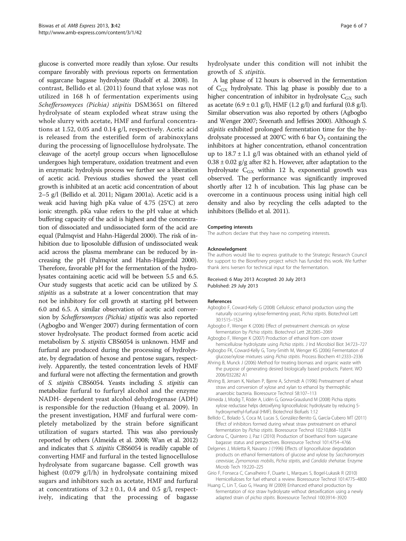<span id="page-5-0"></span>glucose is converted more readily than xylose. Our results compare favorably with previous reports on fermentation of sugarcane bagasse hydrolysate (Rudolf et al. [2008](#page-6-0)). In contrast, Bellido et al. (2011) found that xylose was not utilized in 168 h of fermentation experiments using Scheffersomyces (Pichia) stipitis DSM3651 on filtered hydrolysate of steam exploded wheat straw using the whole slurry with acetate, HMF and furfural concentrations at 1.52, 0.05 and 0.14 g/l, respectively. Acetic acid is released from the esterified form of arabinoxylans during the processing of lignocellulose hydrolysate. The cleavage of the acetyl group occurs when lignocellulose undergoes high temperature, oxidation treatment and even in enzymatic hydrolysis process we further see a liberation of acetic acid. Previous studies showed the yeast cell growth is inhibited at an acetic acid concentration of about 2–5 g/l (Bellido et al. 2011; Nigam [2001a\)](#page-6-0). Acetic acid is a weak acid having high pKa value of 4.75 (25°C) at zero ionic strength. pKa value refers to the pH value at which buffering capacity of the acid is highest and the concentration of dissociated and undissociated form of the acid are equal (Palmqvist and Hahn-Hägerdal [2000](#page-6-0)). The risk of inhibition due to liposoluble diffusion of undissociated weak acid across the plasma membrane can be reduced by increasing the pH (Palmqvist and Hahn-Hägerdal [2000](#page-6-0)). Therefore, favorable pH for the fermentation of the hydrolysates containing acetic acid will be between 5.5 and 6.5. Our study suggests that acetic acid can be utilized by S. stipitis as a substrate at a lower concentration that may not be inhibitory for cell growth at starting pH between 6.0 and 6.5. A similar observation of acetic acid conversion by Scheffersomyces (Pichia) stipitis was also reported (Agbogbo and Wenger 2007) during fermentation of corn stover hydrolysate. The product formed from acetic acid metabolism by S. stipitis CBS6054 is unknown. HMF and furfural are produced during the processing of hydrolysate, by degradation of hexose and pentose sugars, respectively. Apparently, the tested concentration levels of HMF and furfural were not affecting the fermentation and growth of S. stipitis CBS6054. Yeasts including S. stipitis can metabolize furfural to furfuryl alcohol and the enzyme NADH- dependent yeast alcohol dehydrogenase (ADH) is responsible for the reduction (Huang et al. 2009). In the present investigation, HMF and furfural were completely metabolized by the strain before significant utilization of sugars started. This was also previously reported by others (Almeida et al. 2008; Wan et al. [2012](#page-6-0)) and indicates that *S. stipitis* CBS6054 is readily capable of converting HMF and furfural in the tested lignocellulose hydrolysate from sugarcane bagasse. Cell growth was highest (0.079 g/l/h) in hydrolysate containing mixed sugars and inhibitors such as acetate, HMF and furfural at concentrations of  $3.2 \pm 0.1$ , 0.4 and 0.5 g/l, respectively, indicating that the processing of bagasse

hydrolysate under this condition will not inhibit the growth of S. stipitis.

A lag phase of 12 hours is observed in the fermentation of  $C_{GX}$  hydrolysate. This lag phase is possibly due to a higher concentration of inhibitor in hydrolysate  $C_{GX}$  such as acetate  $(6.9 \pm 0.1 \text{ g/l})$ , HMF  $(1.2 \text{ g/l})$  and furfural  $(0.8 \text{ g/l})$ . Similar observation was also reported by others (Agbogbo and Wenger 2007; Sreenath and Jeffries [2000](#page-6-0)). Although S. stipitis exhibited prolonged fermentation time for the hydrolysate processed at 200°C with 6 bar  $O_2$  containing the inhibitors at higher concentration, ethanol concentration up to  $18.7 \pm 1.1$  g/l was obtained with an ethanol yield of  $0.38 \pm 0.02$  g/g after 82 h. However, after adaptation to the hydrolysate  $C_{GX}$  within 12 h, exponential growth was observed. The performance was significantly improved shortly after 12 h of incubation. This lag phase can be overcome in a continuous process using initial high cell density and also by recycling the cells adapted to the inhibitors (Bellido et al. 2011).

#### Competing interests

The authors declare that they have no competing interests.

#### Acknowledgment

The authors would like to express gratitude to the Strategic Research Council for support to the Biorefinery project which has funded this work. We further thank Jens Iversen for technical input for the fermentation.

#### Received: 6 May 2013 Accepted: 20 July 2013 Published: 29 July 2013

#### References

- Agbogbo F, Coward-Kelly G (2008) Cellulosic ethanol production using the naturally occurring xylose-fermenting yeast, Pichia stipitis. Biotechnol Lett 30:1515–1524
- Agbogbo F, Wenger K (2006) Effect of pretreatment chemicals on xylose fermentation by Pichia stipitis. Biotechnol Lett 28:2065–2069
- Agbogbo F, Wenger K (2007) Production of ethanol from corn stover hemicellulose hydrolyzate using Pichia stipitis. J Ind Microbiol Biot 34:723–727
- Agbogbo FK, Coward-Kelly G, Torry-Smith M, Wenger KS (2006) Fermentation of glucose/xylose mixtures using Pichia stipitis. Process Biochem 41:2333–2336 Ahring B, Munck J (2006) Method for treating biomass and organic waste with
- the purpose of generating desired biologically based products. Patent. WO 2006/032282 A1
- Ahring B, Jensen K, Nielsen P, Bjerre A, Schmidt A (1996) Pretreatment of wheat straw and conversion of xylose and xylan to ethanol by thermophilic anaerobic bacteria. Bioresource Technol 58:107–113
- Almeida J, Modig T, Röder A, Lidén G, Gorwa-Grauslund M (2008) Pichia stipitis xylose reductase helps detoxifying lignocellulosic hydrolysate by reducing 5 hydroxymethyl-furfural (HMF). Biotechnol Biofuels 1:12
- Bellido C, Bolado S, Coca M, Lucas S, González-Benito G, García-Cubero MT (2011) Effect of inhibitors formed during wheat straw pretreatment on ethanol fermentation by Pichia stipitis. Bioresource Technol 102:10,868–10,874
- Cardona C, Quintero J, Paz I (2010) Production of bioethanol from sugarcane bagasse: status and perspectives. Bioresource Technol 101:4754–4766
- Delgenes J, Moletta R, Navarro J (1996) Effects of lignocellulose degradation products on ethanol fermentations of glucose and xylose by Saccharomyces cerevisiae, Zymomonas mobilis, Pichia stipitis, and Candida shehatae. Enzyme Microb Tech 19:220–225
- Girio F, Fonseca C, Carvalheiro F, Duarte L, Marques S, Bogel-Lukasik R (2010) Hemicelluloses for fuel ethanol: a review. Bioresource Technol 101:4775–4800
- Huang C, Lin T, Guo G, Hwang W (2009) Enhanced ethanol production by fermentation of rice straw hydrolysate without detoxification using a newly adapted strain of pichia stipitis. Bioresource Technol 100:3914–3920